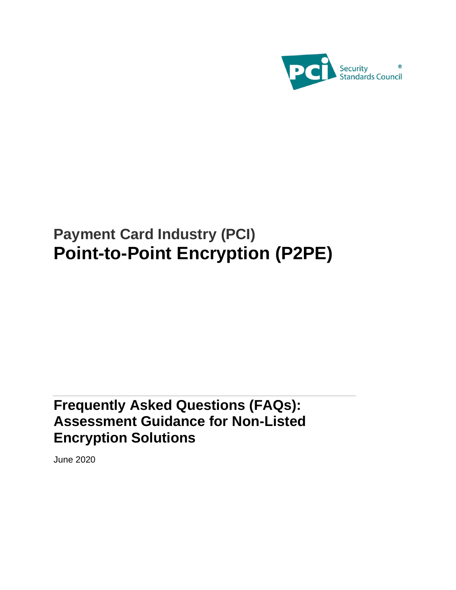

# **Payment Card Industry (PCI) Point-to-Point Encryption (P2PE)**

# **Frequently Asked Questions (FAQs): Assessment Guidance for Non-Listed Encryption Solutions**

June 2020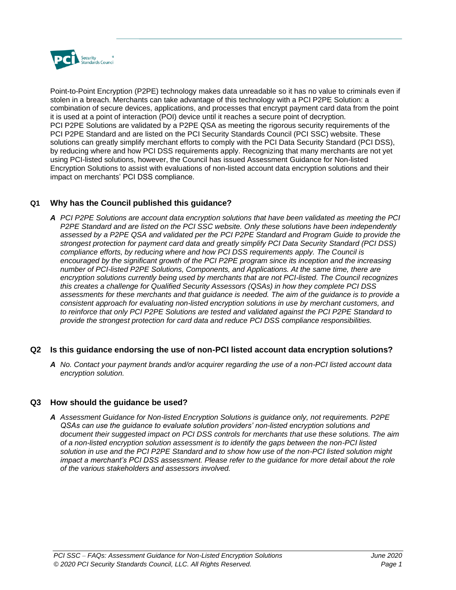

Point-to-Point Encryption (P2PE) technology makes data unreadable so it has no value to criminals even if stolen in a breach. Merchants can take advantage of this technology with a PCI P2PE Solution: a combination of secure devices, applications, and processes that encrypt payment card data from the point it is used at a point of interaction (POI) device until it reaches a secure point of decryption. PCI P2PE Solutions are validated by a P2PE QSA as meeting the rigorous security requirements of the PCI P2PE Standard and are listed on the PCI Security Standards Council (PCI SSC) website. These solutions can greatly simplify merchant efforts to comply with the PCI Data Security Standard (PCI DSS), by reducing where and how PCI DSS requirements apply. Recognizing that many merchants are not yet using PCI-listed solutions, however, the Council has issued Assessment Guidance for Non-listed Encryption Solutions to assist with evaluations of non-listed account data encryption solutions and their impact on merchants' PCI DSS compliance.

# **Q1 Why has the Council published this guidance?**

*A PCI P2PE Solutions are account data encryption solutions that have been validated as meeting the PCI P2PE Standard and are listed on the PCI SSC website. Only these solutions have been independently assessed by a P2PE QSA and validated per the PCI P2PE Standard and Program Guide to provide the strongest protection for payment card data and greatly simplify PCI Data Security Standard (PCI DSS) compliance efforts, by reducing where and how PCI DSS requirements apply. The Council is encouraged by the significant growth of the PCI P2PE program since its inception and the increasing number of PCI-listed P2PE Solutions, Components, and Applications. At the same time, there are encryption solutions currently being used by merchants that are not PCI-listed. The Council recognizes this creates a challenge for Qualified Security Assessors (QSAs) in how they complete PCI DSS assessments for these merchants and that guidance is needed. The aim of the guidance is to provide a consistent approach for evaluating non-listed encryption solutions in use by merchant customers, and to reinforce that only PCI P2PE Solutions are tested and validated against the PCI P2PE Standard to provide the strongest protection for card data and reduce PCI DSS compliance responsibilities.* 

# **Q2 Is this guidance endorsing the use of non-PCI listed account data encryption solutions?**

*A No. Contact your payment brands and/or acquirer regarding the use of a non-PCI listed account data encryption solution.*

#### **Q3 How should the guidance be used?**

*A Assessment Guidance for Non-listed Encryption Solutions is guidance only, not requirements. P2PE QSAs can use the guidance to evaluate solution providers' non-listed encryption solutions and document their suggested impact on PCI DSS controls for merchants that use these solutions. The aim of a non-listed encryption solution assessment is to identify the gaps between the non-PCI listed solution in use and the PCI P2PE Standard and to show how use of the non-PCI listed solution might impact a merchant's PCI DSS assessment. Please refer to the quidance for more detail about the role of the various stakeholders and assessors involved.*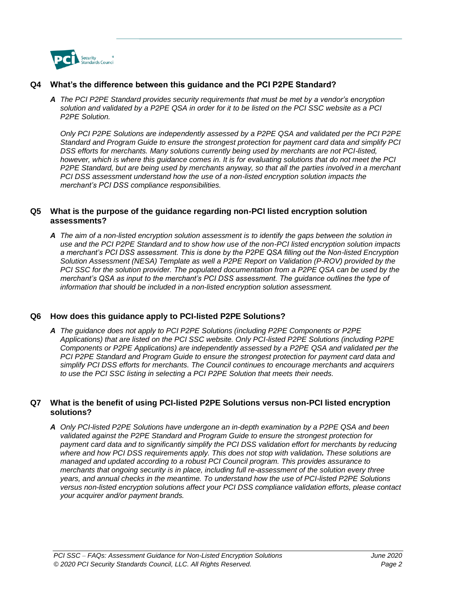

# **Q4 What's the difference between this guidance and the PCI P2PE Standard?**

*A The PCI P2PE Standard provides security requirements that must be met by a vendor's encryption solution and validated by a P2PE QSA in order for it to be listed on the PCI SSC website as a PCI P2PE Solution.* 

*Only PCI P2PE Solutions are independently assessed by a P2PE QSA and validated per the PCI P2PE Standard and Program Guide to ensure the strongest protection for payment card data and simplify PCI DSS efforts for merchants. Many solutions currently being used by merchants are not PCI-listed, however, which is where this guidance comes in. It is for evaluating solutions that do not meet the PCI P2PE Standard, but are being used by merchants anyway, so that all the parties involved in a merchant PCI DSS assessment understand how the use of a non-listed encryption solution impacts the merchant's PCI DSS compliance responsibilities.* 

# **Q5 What is the purpose of the guidance regarding non-PCI listed encryption solution assessments?**

*A The aim of a non-listed encryption solution assessment is to identify the gaps between the solution in use and the PCI P2PE Standard and to show how use of the non-PCI listed encryption solution impacts a merchant's PCI DSS assessment. This is done by the P2PE QSA filling out the Non-listed Encryption Solution Assessment (NESA) Template as well a P2PE Report on Validation (P-ROV) provided by the PCI SSC for the solution provider. The populated documentation from a P2PE QSA can be used by the merchant's QSA as input to the merchant's PCI DSS assessment. The guidance outlines the type of information that should be included in a non-listed encryption solution assessment.* 

# **Q6 How does this guidance apply to PCI-listed P2PE Solutions?**

*A The guidance does not apply to PCI P2PE Solutions (including P2PE Components or P2PE Applications) that are listed on the PCI SSC website. Only PCI-listed P2PE Solutions (including P2PE Components or P2PE Applications) are independently assessed by a P2PE QSA and validated per the*  PCI P2PE Standard and Program Guide to ensure the strongest protection for payment card data and *simplify PCI DSS efforts for merchants. The Council continues to encourage merchants and acquirers to use the PCI SSC listing in selecting a PCI P2PE Solution that meets their needs.* 

#### **Q7 What is the benefit of using PCI-listed P2PE Solutions versus non-PCI listed encryption solutions?**

*A Only PCI-listed P2PE Solutions have undergone an in-depth examination by a P2PE QSA and been validated against the P2PE Standard and Program Guide to ensure the strongest protection for*  payment card data and to significantly simplify the PCI DSS validation effort for merchants by reducing where and how PCI DSS requirements apply. This does not stop with validation. These solutions are *managed and updated according to a robust PCI Council program. This provides assurance to merchants that ongoing security is in place, including full re-assessment of the solution every three years, and annual checks in the meantime. To understand how the use of PCI-listed P2PE Solutions versus non-listed encryption solutions affect your PCI DSS compliance validation efforts, please contact your acquirer and/or payment brands.*